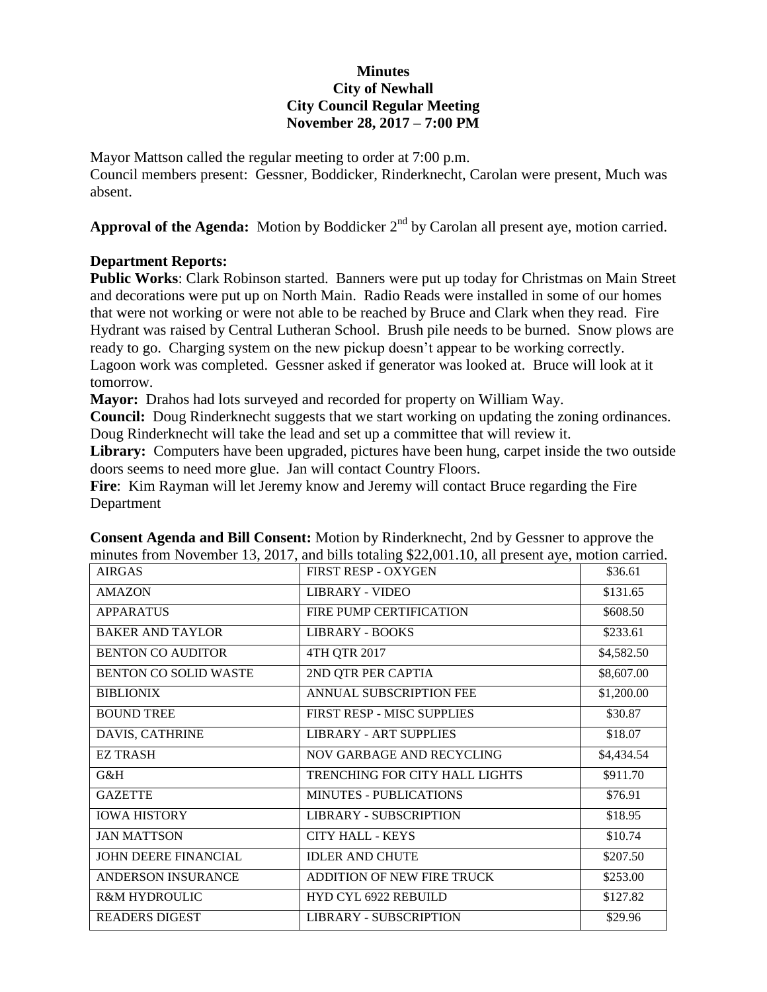## **Minutes City of Newhall City Council Regular Meeting November 28, 2017 – 7:00 PM**

Mayor Mattson called the regular meeting to order at 7:00 p.m. Council members present: Gessner, Boddicker, Rinderknecht, Carolan were present, Much was absent.

Approval of the Agenda: Motion by Boddicker 2<sup>nd</sup> by Carolan all present aye, motion carried.

## **Department Reports:**

**Public Works**: Clark Robinson started. Banners were put up today for Christmas on Main Street and decorations were put up on North Main. Radio Reads were installed in some of our homes that were not working or were not able to be reached by Bruce and Clark when they read. Fire Hydrant was raised by Central Lutheran School. Brush pile needs to be burned. Snow plows are ready to go. Charging system on the new pickup doesn't appear to be working correctly. Lagoon work was completed. Gessner asked if generator was looked at. Bruce will look at it tomorrow.

**Mayor:** Drahos had lots surveyed and recorded for property on William Way.

**Council:** Doug Rinderknecht suggests that we start working on updating the zoning ordinances. Doug Rinderknecht will take the lead and set up a committee that will review it.

Library: Computers have been upgraded, pictures have been hung, carpet inside the two outside doors seems to need more glue. Jan will contact Country Floors.

**Fire**: Kim Rayman will let Jeremy know and Jeremy will contact Bruce regarding the Fire Department

| <b>AIRGAS</b>            | <b>FIRST RESP - OXYGEN</b>     | \$36.61    |
|--------------------------|--------------------------------|------------|
| <b>AMAZON</b>            | LIBRARY - VIDEO                | \$131.65   |
| <b>APPARATUS</b>         | FIRE PUMP CERTIFICATION        | \$608.50   |
| <b>BAKER AND TAYLOR</b>  | <b>LIBRARY - BOOKS</b>         | \$233.61   |
| <b>BENTON CO AUDITOR</b> | 4TH QTR 2017                   | \$4,582.50 |
| BENTON CO SOLID WASTE    | 2ND QTR PER CAPTIA             | \$8,607.00 |
| <b>BIBLIONIX</b>         | ANNUAL SUBSCRIPTION FEE        | \$1,200.00 |
| <b>BOUND TREE</b>        | FIRST RESP - MISC SUPPLIES     | \$30.87    |
| DAVIS, CATHRINE          | <b>LIBRARY - ART SUPPLIES</b>  | \$18.07    |
| <b>EZ TRASH</b>          | NOV GARBAGE AND RECYCLING      | \$4,434.54 |
| G&H                      | TRENCHING FOR CITY HALL LIGHTS | \$911.70   |
| <b>GAZETTE</b>           | <b>MINUTES - PUBLICATIONS</b>  | \$76.91    |
| <b>IOWA HISTORY</b>      | <b>LIBRARY - SUBSCRIPTION</b>  | \$18.95    |
| <b>JAN MATTSON</b>       | <b>CITY HALL - KEYS</b>        | \$10.74    |
| JOHN DEERE FINANCIAL     | <b>IDLER AND CHUTE</b>         | \$207.50   |
| ANDERSON INSURANCE       | ADDITION OF NEW FIRE TRUCK     | \$253.00   |
| <b>R&amp;M HYDROULIC</b> | HYD CYL 6922 REBUILD           | \$127.82   |
| <b>READERS DIGEST</b>    | <b>LIBRARY - SUBSCRIPTION</b>  | \$29.96    |

**Consent Agenda and Bill Consent:** Motion by Rinderknecht, 2nd by Gessner to approve the minutes from November 13, 2017, and bills totaling \$22,001.10, all present aye, motion carried.